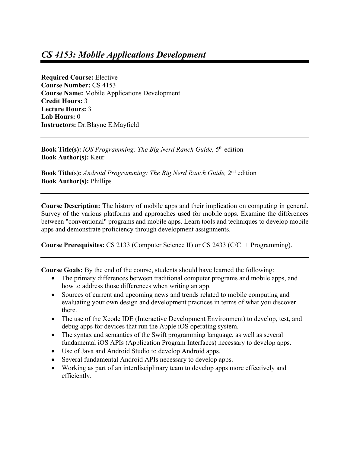**Required Course:** Elective **Course Number:** CS 4153 **Course Name:** Mobile Applications Development **Credit Hours:** 3 **Lecture Hours:** 3 **Lab Hours:** 0 **Instructors:** Dr.Blayne E.Mayfield

**Book Title(s):** *iOS Programming: The Big Nerd Ranch Guide,* 5th edition **Book Author(s):** Keur

**Book Title(s):** *Android Programming: The Big Nerd Ranch Guide,* 2nd edition **Book Author(s):** Phillips

**Course Description:** The history of mobile apps and their implication on computing in general. Survey of the various platforms and approaches used for mobile apps. Examine the differences between "conventional" programs and mobile apps. Learn tools and techniques to develop mobile apps and demonstrate proficiency through development assignments.

**Course Prerequisites:** CS 2133 (Computer Science II) or CS 2433 (C/C++ Programming).

**Course Goals:** By the end of the course, students should have learned the following:

- The primary differences between traditional computer programs and mobile apps, and how to address those differences when writing an app.
- Sources of current and upcoming news and trends related to mobile computing and evaluating your own design and development practices in terms of what you discover there.
- The use of the Xcode IDE (Interactive Development Environment) to develop, test, and debug apps for devices that run the Apple iOS operating system.
- The syntax and semantics of the Swift programming language, as well as several fundamental iOS APIs (Application Program Interfaces) necessary to develop apps.
- Use of Java and Android Studio to develop Android apps.
- Several fundamental Android APIs necessary to develop apps.
- Working as part of an interdisciplinary team to develop apps more effectively and efficiently.